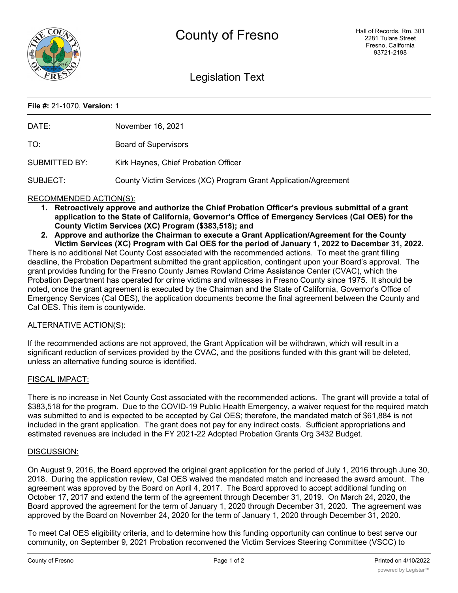

# Legislation Text

### **File #:** 21-1070, **Version:** 1

| DATE:                                                                                                                       | November 16, 2021                                               |
|-----------------------------------------------------------------------------------------------------------------------------|-----------------------------------------------------------------|
| TO:                                                                                                                         | <b>Board of Supervisors</b>                                     |
| SUBMITTED BY:                                                                                                               | Kirk Haynes, Chief Probation Officer                            |
| SUBJECT:                                                                                                                    | County Victim Services (XC) Program Grant Application/Agreement |
| RECOMMENDED ACTION(S):<br>1 Detrogotively approve and qutborize the Chief Drobation Officer's provious submittal of a grapt |                                                                 |

- **1. Retroactively approve and authorize the Chief Probation Officer's previous submittal of a grant application to the State of California, Governor's Office of Emergency Services (Cal OES) for the County Victim Services (XC) Program (\$383,518); and**
- **2. Approve and authorize the Chairman to execute a Grant Application/Agreement for the County Victim Services (XC) Program with Cal OES for the period of January 1, 2022 to December 31, 2022.**

There is no additional Net County Cost associated with the recommended actions. To meet the grant filling deadline, the Probation Department submitted the grant application, contingent upon your Board's approval. The grant provides funding for the Fresno County James Rowland Crime Assistance Center (CVAC), which the Probation Department has operated for crime victims and witnesses in Fresno County since 1975. It should be noted, once the grant agreement is executed by the Chairman and the State of California, Governor's Office of Emergency Services (Cal OES), the application documents become the final agreement between the County and Cal OES. This item is countywide.

## ALTERNATIVE ACTION(S):

If the recommended actions are not approved, the Grant Application will be withdrawn, which will result in a significant reduction of services provided by the CVAC, and the positions funded with this grant will be deleted, unless an alternative funding source is identified.

#### FISCAL IMPACT:

There is no increase in Net County Cost associated with the recommended actions. The grant will provide a total of \$383,518 for the program. Due to the COVID-19 Public Health Emergency, a waiver request for the required match was submitted to and is expected to be accepted by Cal OES; therefore, the mandated match of \$61,884 is not included in the grant application. The grant does not pay for any indirect costs. Sufficient appropriations and estimated revenues are included in the FY 2021-22 Adopted Probation Grants Org 3432 Budget.

#### DISCUSSION:

On August 9, 2016, the Board approved the original grant application for the period of July 1, 2016 through June 30, 2018. During the application review, Cal OES waived the mandated match and increased the award amount. The agreement was approved by the Board on April 4, 2017. The Board approved to accept additional funding on October 17, 2017 and extend the term of the agreement through December 31, 2019. On March 24, 2020, the Board approved the agreement for the term of January 1, 2020 through December 31, 2020. The agreement was approved by the Board on November 24, 2020 for the term of January 1, 2020 through December 31, 2020.

To meet Cal OES eligibility criteria, and to determine how this funding opportunity can continue to best serve our community, on September 9, 2021 Probation reconvened the Victim Services Steering Committee (VSCC) to